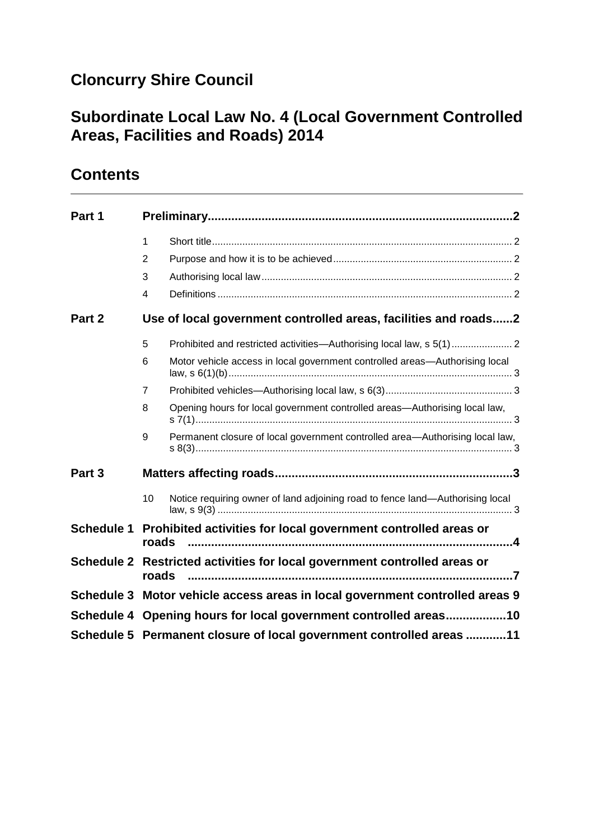# **Cloncurry Shire Council**

### **Subordinate Local Law No. 4 (Local Government Controlled Areas, Facilities and Roads) 2014**

## **Contents**

| Part 1            |                                                                                    |                                                                               |  |
|-------------------|------------------------------------------------------------------------------------|-------------------------------------------------------------------------------|--|
|                   | $\mathbf{1}$                                                                       |                                                                               |  |
|                   | 2                                                                                  |                                                                               |  |
|                   | 3                                                                                  |                                                                               |  |
|                   | 4                                                                                  |                                                                               |  |
| Part 2            |                                                                                    | Use of local government controlled areas, facilities and roads2               |  |
|                   | 5                                                                                  |                                                                               |  |
|                   | 6                                                                                  | Motor vehicle access in local government controlled areas-Authorising local   |  |
|                   | $\overline{7}$                                                                     |                                                                               |  |
|                   | 8                                                                                  | Opening hours for local government controlled areas-Authorising local law,    |  |
|                   | 9                                                                                  | Permanent closure of local government controlled area-Authorising local law,  |  |
| Part 3            |                                                                                    |                                                                               |  |
|                   | 10                                                                                 | Notice requiring owner of land adjoining road to fence land-Authorising local |  |
| <b>Schedule 1</b> | Prohibited activities for local government controlled areas or<br>roads            |                                                                               |  |
|                   | Schedule 2 Restricted activities for local government controlled areas or<br>roads |                                                                               |  |
|                   | Schedule 3 Motor vehicle access areas in local government controlled areas 9       |                                                                               |  |
|                   | Schedule 4 Opening hours for local government controlled areas10                   |                                                                               |  |
|                   | Schedule 5 Permanent closure of local government controlled areas 11               |                                                                               |  |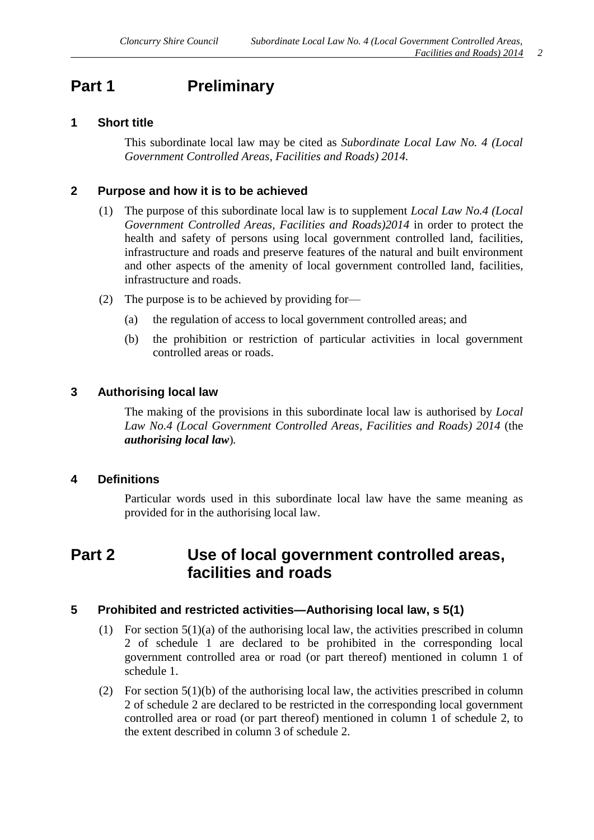### <span id="page-1-0"></span>**Part 1 Preliminary**

#### <span id="page-1-1"></span>**1 Short title**

This subordinate local law may be cited as *Subordinate Local Law No. 4 (Local Government Controlled Areas, Facilities and Roads) 2014.*

#### <span id="page-1-2"></span>**2 Purpose and how it is to be achieved**

- (1) The purpose of this subordinate local law is to supplement *Local Law No.4 (Local Government Controlled Areas, Facilities and Roads)2014* in order to protect the health and safety of persons using local government controlled land, facilities, infrastructure and roads and preserve features of the natural and built environment and other aspects of the amenity of local government controlled land, facilities, infrastructure and roads.
- (2) The purpose is to be achieved by providing for—
	- (a) the regulation of access to local government controlled areas; and
	- (b) the prohibition or restriction of particular activities in local government controlled areas or roads.

#### <span id="page-1-3"></span>**3 Authorising local law**

The making of the provisions in this subordinate local law is authorised by *Local Law No.4 (Local Government Controlled Areas, Facilities and Roads) 2014* (the *authorising local law*)*.*

#### <span id="page-1-4"></span>**4 Definitions**

Particular words used in this subordinate local law have the same meaning as provided for in the authorising local law.

### <span id="page-1-5"></span>**Part 2 Use of local government controlled areas, facilities and roads**

#### <span id="page-1-6"></span>**5 Prohibited and restricted activities—Authorising local law, s 5(1)**

- (1) For section  $5(1)(a)$  of the authorising local law, the activities prescribed in column 2 of schedule 1 are declared to be prohibited in the corresponding local government controlled area or road (or part thereof) mentioned in column 1 of schedule 1.
- (2) For section  $5(1)(b)$  of the authorising local law, the activities prescribed in column 2 of schedule 2 are declared to be restricted in the corresponding local government controlled area or road (or part thereof) mentioned in column 1 of schedule 2, to the extent described in column 3 of schedule 2.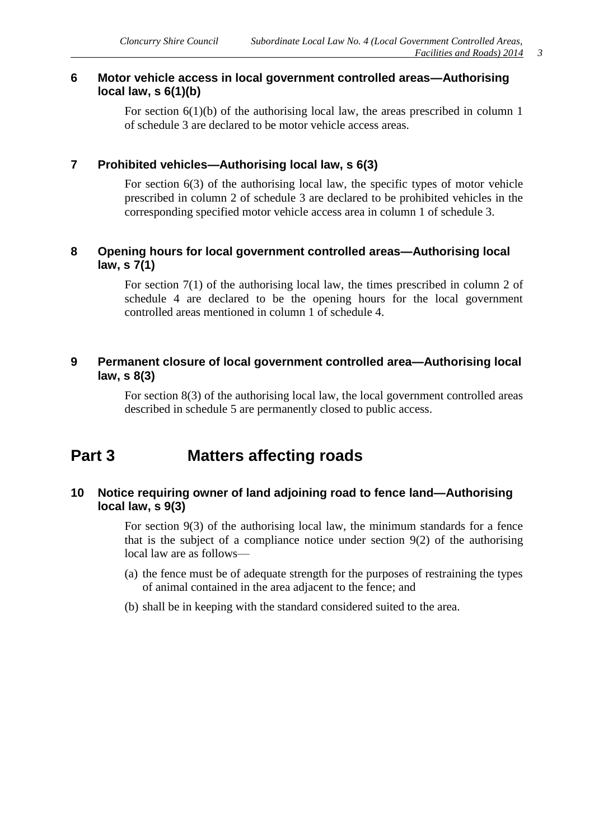#### <span id="page-2-0"></span>**6 Motor vehicle access in local government controlled areas—Authorising local law, s 6(1)(b)**

For section 6(1)(b) of the authorising local law, the areas prescribed in column 1 of schedule 3 are declared to be motor vehicle access areas.

#### <span id="page-2-1"></span>**7 Prohibited vehicles—Authorising local law, s 6(3)**

For section 6(3) of the authorising local law, the specific types of motor vehicle prescribed in column 2 of schedule 3 are declared to be prohibited vehicles in the corresponding specified motor vehicle access area in column 1 of schedule 3.

#### <span id="page-2-2"></span>**8 Opening hours for local government controlled areas—Authorising local law, s 7(1)**

For section 7(1) of the authorising local law, the times prescribed in column 2 of schedule 4 are declared to be the opening hours for the local government controlled areas mentioned in column 1 of schedule 4.

#### <span id="page-2-3"></span>**9 Permanent closure of local government controlled area—Authorising local law, s 8(3)**

For section 8(3) of the authorising local law, the local government controlled areas described in schedule 5 are permanently closed to public access.

### <span id="page-2-4"></span>**Part 3 Matters affecting roads**

#### <span id="page-2-5"></span>**10 Notice requiring owner of land adjoining road to fence land—Authorising local law, s 9(3)**

For section 9(3) of the authorising local law, the minimum standards for a fence that is the subject of a compliance notice under section 9(2) of the authorising local law are as follows—

- (a) the fence must be of adequate strength for the purposes of restraining the types of animal contained in the area adjacent to the fence; and
- (b) shall be in keeping with the standard considered suited to the area.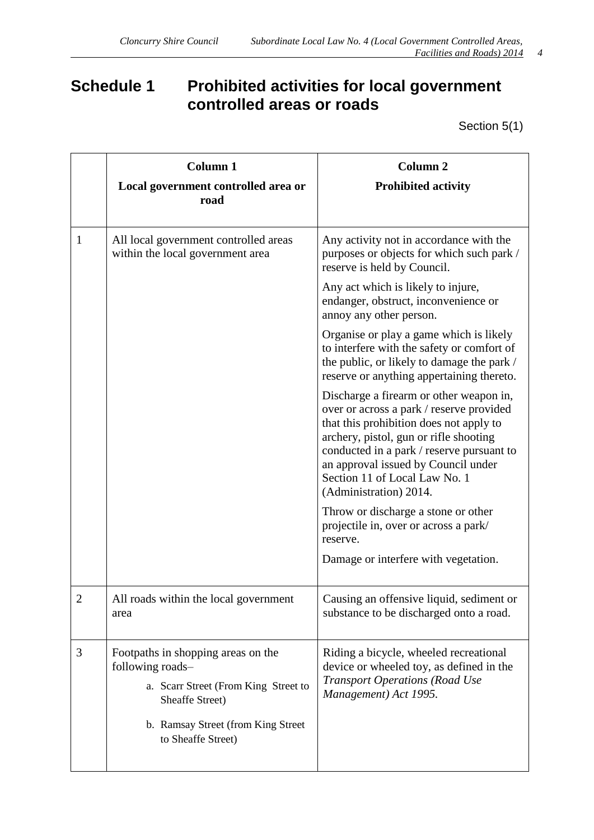# <span id="page-3-0"></span>**Schedule 1 Prohibited activities for local government controlled areas or roads**

Section 5(1)

|   | <b>Column 1</b><br>Local government controlled area or<br>road                                                                                                                 | <b>Column 2</b><br><b>Prohibited activity</b>                                                                                                                                                                                                                                                                           |
|---|--------------------------------------------------------------------------------------------------------------------------------------------------------------------------------|-------------------------------------------------------------------------------------------------------------------------------------------------------------------------------------------------------------------------------------------------------------------------------------------------------------------------|
| 1 | All local government controlled areas<br>within the local government area                                                                                                      | Any activity not in accordance with the<br>purposes or objects for which such park /<br>reserve is held by Council.                                                                                                                                                                                                     |
|   |                                                                                                                                                                                | Any act which is likely to injure,<br>endanger, obstruct, inconvenience or<br>annoy any other person.                                                                                                                                                                                                                   |
|   |                                                                                                                                                                                | Organise or play a game which is likely<br>to interfere with the safety or comfort of<br>the public, or likely to damage the park /<br>reserve or anything appertaining thereto.                                                                                                                                        |
|   |                                                                                                                                                                                | Discharge a firearm or other weapon in,<br>over or across a park / reserve provided<br>that this prohibition does not apply to<br>archery, pistol, gun or rifle shooting<br>conducted in a park / reserve pursuant to<br>an approval issued by Council under<br>Section 11 of Local Law No. 1<br>(Administration) 2014. |
|   |                                                                                                                                                                                | Throw or discharge a stone or other<br>projectile in, over or across a park/<br>reserve.                                                                                                                                                                                                                                |
|   |                                                                                                                                                                                | Damage or interfere with vegetation.                                                                                                                                                                                                                                                                                    |
| 2 | All roads within the local government<br>area                                                                                                                                  | Causing an offensive liquid, sediment or<br>substance to be discharged onto a road.                                                                                                                                                                                                                                     |
| 3 | Footpaths in shopping areas on the<br>following roads-<br>a. Scarr Street (From King Street to<br>Sheaffe Street)<br>b. Ramsay Street (from King Street)<br>to Sheaffe Street) | Riding a bicycle, wheeled recreational<br>device or wheeled toy, as defined in the<br><b>Transport Operations (Road Use</b><br>Management) Act 1995.                                                                                                                                                                    |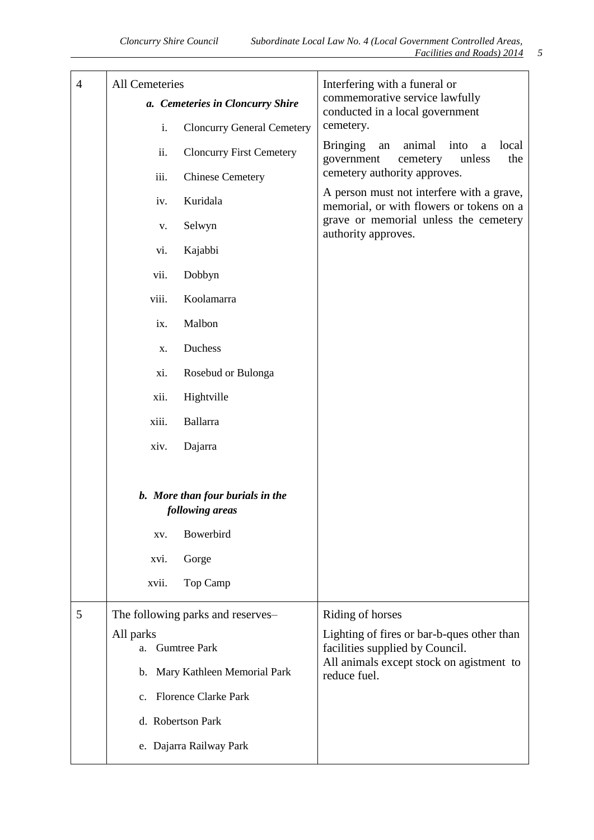| $\overline{4}$ | All Cemeteries                                      | Interfering with a funeral or<br>commemorative service lawfully<br>conducted in a local government |  |
|----------------|-----------------------------------------------------|----------------------------------------------------------------------------------------------------|--|
|                | a. Cemeteries in Cloncurry Shire                    |                                                                                                    |  |
|                | i.<br><b>Cloncurry General Cemetery</b>             | cemetery.                                                                                          |  |
|                | ii.<br><b>Cloncurry First Cemetery</b>              | <b>Bringing</b><br>an<br>animal<br>into<br>local<br>a<br>government<br>cemetery<br>unless<br>the   |  |
|                | iii.<br><b>Chinese Cemetery</b>                     | cemetery authority approves.                                                                       |  |
|                | Kuridala<br>iv.                                     | A person must not interfere with a grave,<br>memorial, or with flowers or tokens on a              |  |
|                | Selwyn<br>V.                                        | grave or memorial unless the cemetery<br>authority approves.                                       |  |
|                | Kajabbi<br>vi.                                      |                                                                                                    |  |
|                | vii.<br>Dobbyn                                      |                                                                                                    |  |
|                | Koolamarra<br>viii.                                 |                                                                                                    |  |
|                | Malbon<br>ix.                                       |                                                                                                    |  |
|                | Duchess<br>X.                                       |                                                                                                    |  |
|                | Rosebud or Bulonga<br>xi.                           |                                                                                                    |  |
|                | Hightville<br>xii.                                  |                                                                                                    |  |
|                | <b>Ballarra</b><br>xiii.                            |                                                                                                    |  |
|                | xiv.<br>Dajarra                                     |                                                                                                    |  |
|                |                                                     |                                                                                                    |  |
|                | b. More than four burials in the<br>following areas |                                                                                                    |  |
|                | Bowerbird<br>XV.                                    |                                                                                                    |  |
|                | Gorge<br>xvi.                                       |                                                                                                    |  |
|                | Top Camp<br>xvii.                                   |                                                                                                    |  |
| 5              | The following parks and reserves-                   | Riding of horses                                                                                   |  |
|                | All parks<br><b>Gumtree Park</b><br>a.              | Lighting of fires or bar-b-ques other than<br>facilities supplied by Council.                      |  |
|                | Mary Kathleen Memorial Park<br>b.                   | All animals except stock on agistment to<br>reduce fuel.                                           |  |
|                | <b>Florence Clarke Park</b><br>$c_{\cdot}$          |                                                                                                    |  |
|                | d. Robertson Park                                   |                                                                                                    |  |
|                | e. Dajarra Railway Park                             |                                                                                                    |  |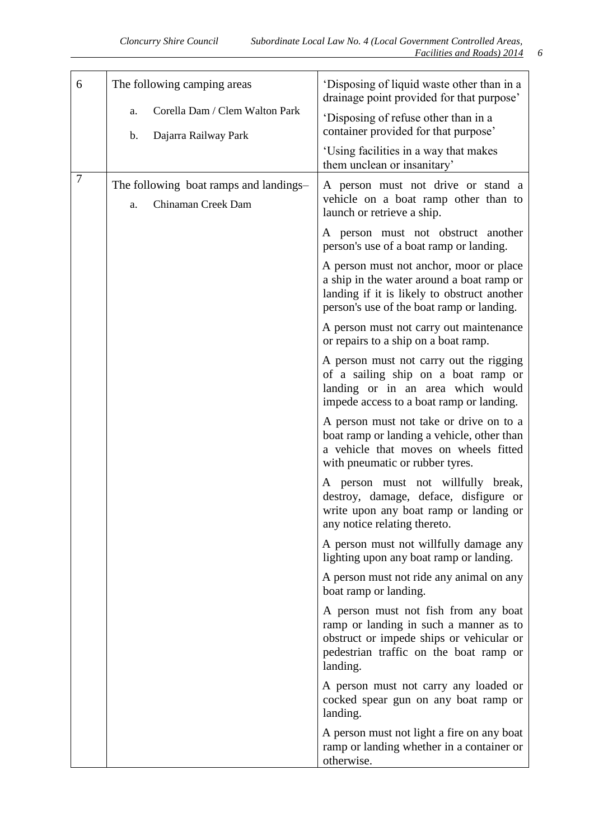| 6      | The following camping areas                                        | 'Disposing of liquid waste other than in a<br>drainage point provided for that purpose'                                                                                          |  |
|--------|--------------------------------------------------------------------|----------------------------------------------------------------------------------------------------------------------------------------------------------------------------------|--|
|        | Corella Dam / Clem Walton Park<br>a.<br>Dajarra Railway Park<br>b. | 'Disposing of refuse other than in a<br>container provided for that purpose'                                                                                                     |  |
|        |                                                                    | 'Using facilities in a way that makes<br>them unclean or insanitary'                                                                                                             |  |
| $\tau$ | The following boat ramps and landings-<br>Chinaman Creek Dam<br>a. | A person must not drive or stand a<br>vehicle on a boat ramp other than to<br>launch or retrieve a ship.                                                                         |  |
|        |                                                                    | A person must not obstruct another<br>person's use of a boat ramp or landing.                                                                                                    |  |
|        |                                                                    | A person must not anchor, moor or place<br>a ship in the water around a boat ramp or<br>landing if it is likely to obstruct another<br>person's use of the boat ramp or landing. |  |
|        |                                                                    | A person must not carry out maintenance<br>or repairs to a ship on a boat ramp.                                                                                                  |  |
|        |                                                                    | A person must not carry out the rigging<br>of a sailing ship on a boat ramp or<br>landing or in an area which would<br>impede access to a boat ramp or landing.                  |  |
|        |                                                                    | A person must not take or drive on to a<br>boat ramp or landing a vehicle, other than<br>a vehicle that moves on wheels fitted<br>with pneumatic or rubber tyres.                |  |
|        |                                                                    | A person must not willfully break,<br>destroy, damage, deface, disfigure or<br>write upon any boat ramp or landing or<br>any notice relating thereto.                            |  |
|        |                                                                    | A person must not willfully damage any<br>lighting upon any boat ramp or landing.                                                                                                |  |
|        |                                                                    | A person must not ride any animal on any<br>boat ramp or landing.                                                                                                                |  |
|        |                                                                    | A person must not fish from any boat<br>ramp or landing in such a manner as to<br>obstruct or impede ships or vehicular or<br>pedestrian traffic on the boat ramp or<br>landing. |  |
|        |                                                                    | A person must not carry any loaded or<br>cocked spear gun on any boat ramp or<br>landing.                                                                                        |  |
|        |                                                                    | A person must not light a fire on any boat<br>ramp or landing whether in a container or<br>otherwise.                                                                            |  |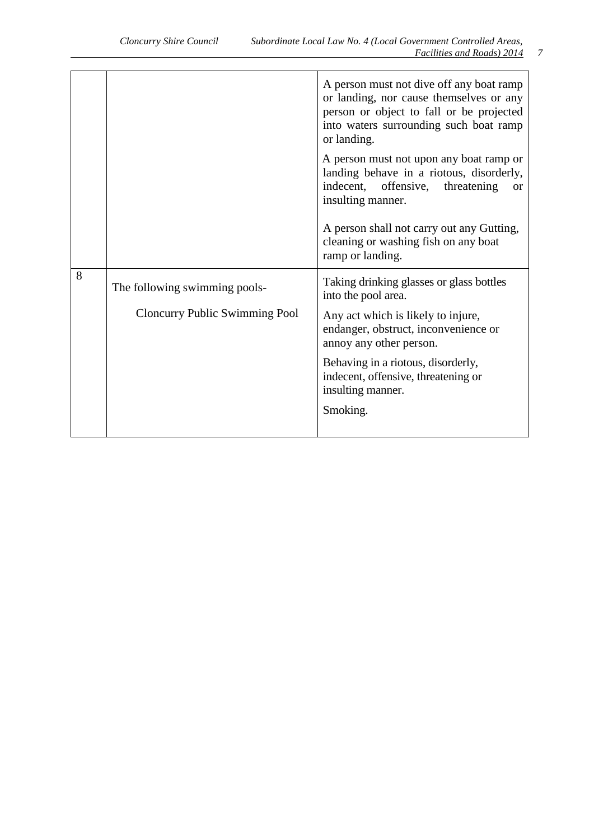|   |                                                                        | A person must not dive off any boat ramp<br>or landing, nor cause themselves or any<br>person or object to fall or be projected<br>into waters surrounding such boat ramp<br>or landing.                                                                                               |
|---|------------------------------------------------------------------------|----------------------------------------------------------------------------------------------------------------------------------------------------------------------------------------------------------------------------------------------------------------------------------------|
|   |                                                                        | A person must not upon any boat ramp or<br>landing behave in a riotous, disorderly,<br>indecent, offensive,<br>threatening<br><b>or</b><br>insulting manner.                                                                                                                           |
|   |                                                                        | A person shall not carry out any Gutting,<br>cleaning or washing fish on any boat<br>ramp or landing.                                                                                                                                                                                  |
| 8 | The following swimming pools-<br><b>Cloncurry Public Swimming Pool</b> | Taking drinking glasses or glass bottles<br>into the pool area.<br>Any act which is likely to injure,<br>endanger, obstruct, inconvenience or<br>annoy any other person.<br>Behaving in a riotous, disorderly,<br>indecent, offensive, threatening or<br>insulting manner.<br>Smoking. |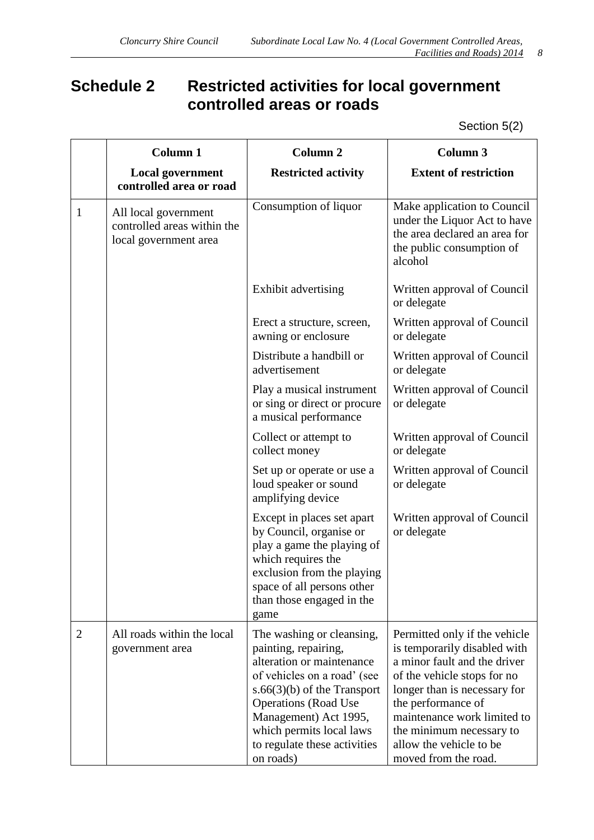# <span id="page-7-0"></span>**Schedule 2 Restricted activities for local government controlled areas or roads**

Section 5(2)

|                | <b>Column 1</b>                                                              | <b>Column 2</b>                                                                                                                                                                                                                                                                 | <b>Column 3</b>                                                                                                                                                                                                                                                                                  |  |
|----------------|------------------------------------------------------------------------------|---------------------------------------------------------------------------------------------------------------------------------------------------------------------------------------------------------------------------------------------------------------------------------|--------------------------------------------------------------------------------------------------------------------------------------------------------------------------------------------------------------------------------------------------------------------------------------------------|--|
|                | <b>Local government</b><br>controlled area or road                           | <b>Restricted activity</b>                                                                                                                                                                                                                                                      | <b>Extent of restriction</b>                                                                                                                                                                                                                                                                     |  |
| $\mathbf{1}$   | All local government<br>controlled areas within the<br>local government area | Consumption of liquor                                                                                                                                                                                                                                                           | Make application to Council<br>under the Liquor Act to have<br>the area declared an area for<br>the public consumption of<br>alcohol                                                                                                                                                             |  |
|                |                                                                              | Exhibit advertising                                                                                                                                                                                                                                                             | Written approval of Council<br>or delegate                                                                                                                                                                                                                                                       |  |
|                |                                                                              | Erect a structure, screen,<br>awning or enclosure                                                                                                                                                                                                                               | Written approval of Council<br>or delegate                                                                                                                                                                                                                                                       |  |
|                |                                                                              | Distribute a handbill or<br>advertisement                                                                                                                                                                                                                                       | Written approval of Council<br>or delegate                                                                                                                                                                                                                                                       |  |
|                |                                                                              | Play a musical instrument<br>or sing or direct or procure<br>a musical performance                                                                                                                                                                                              | Written approval of Council<br>or delegate                                                                                                                                                                                                                                                       |  |
|                |                                                                              | Collect or attempt to<br>collect money                                                                                                                                                                                                                                          | Written approval of Council<br>or delegate                                                                                                                                                                                                                                                       |  |
|                |                                                                              | Set up or operate or use a<br>loud speaker or sound<br>amplifying device                                                                                                                                                                                                        | Written approval of Council<br>or delegate                                                                                                                                                                                                                                                       |  |
|                |                                                                              | Except in places set apart<br>by Council, organise or<br>play a game the playing of<br>which requires the<br>exclusion from the playing<br>space of all persons other<br>than those engaged in the<br>game                                                                      | Written approval of Council<br>or delegate                                                                                                                                                                                                                                                       |  |
| $\overline{2}$ | All roads within the local<br>government area                                | The washing or cleansing,<br>painting, repairing,<br>alteration or maintenance<br>of vehicles on a road' (see<br>$s.66(3)(b)$ of the Transport<br><b>Operations</b> (Road Use<br>Management) Act 1995,<br>which permits local laws<br>to regulate these activities<br>on roads) | Permitted only if the vehicle<br>is temporarily disabled with<br>a minor fault and the driver<br>of the vehicle stops for no<br>longer than is necessary for<br>the performance of<br>maintenance work limited to<br>the minimum necessary to<br>allow the vehicle to be<br>moved from the road. |  |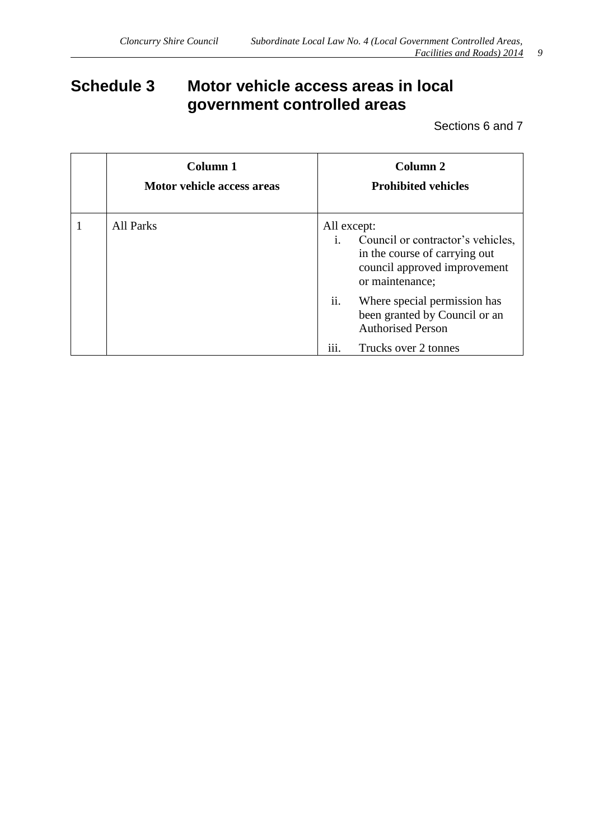# <span id="page-8-0"></span>**Schedule 3 Motor vehicle access areas in local government controlled areas**

Sections 6 and 7

| Column 1<br>Motor vehicle access areas | Column 2<br><b>Prohibited vehicles</b>                                                                                                                 |  |
|----------------------------------------|--------------------------------------------------------------------------------------------------------------------------------------------------------|--|
| <b>All Parks</b>                       | All except:<br>Council or contractor's vehicles,<br>$\mathbf{i}$ .<br>in the course of carrying out<br>council approved improvement<br>or maintenance; |  |
|                                        | ii.<br>Where special permission has<br>been granted by Council or an<br><b>Authorised Person</b>                                                       |  |
|                                        | $\cdots$<br>Trucks over 2 tonnes<br>111.                                                                                                               |  |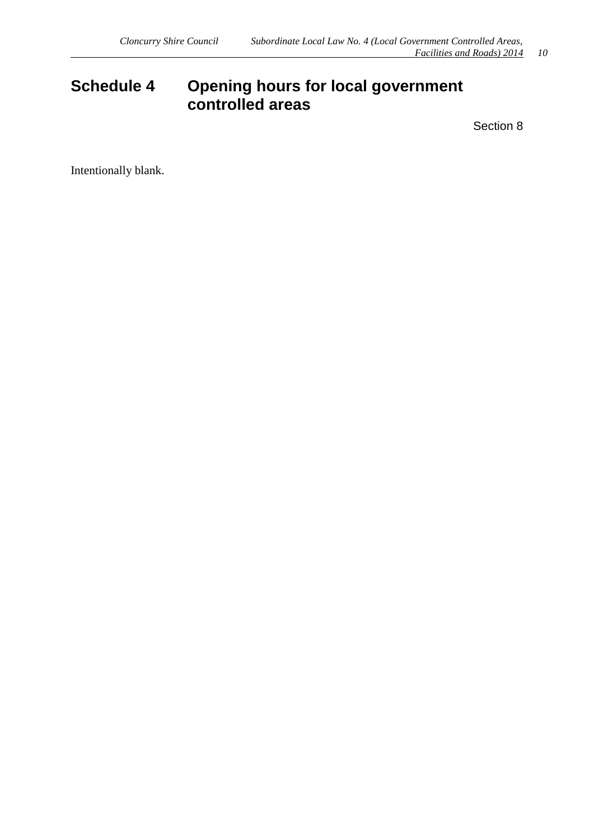# <span id="page-9-0"></span>**Schedule 4 Opening hours for local government controlled areas**

Section 8

Intentionally blank.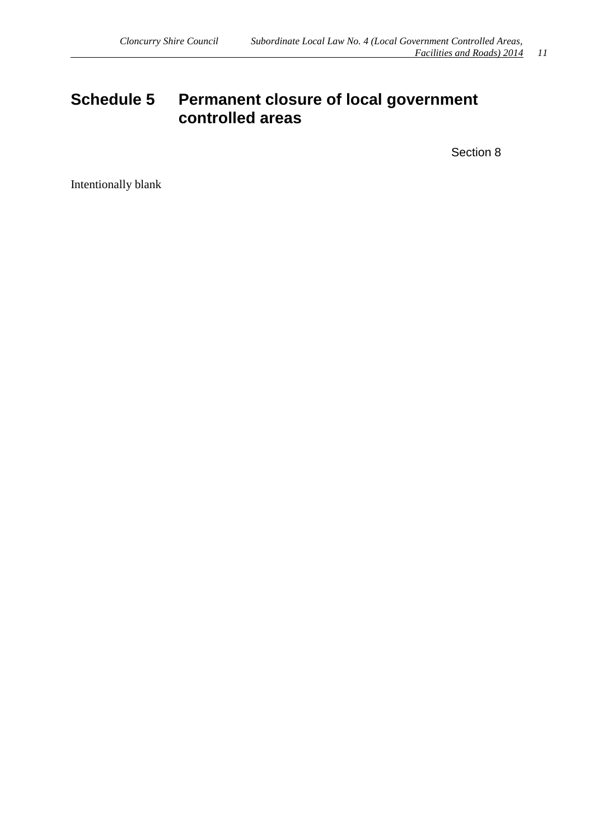### <span id="page-10-0"></span>**Schedule 5 Permanent closure of local government controlled areas**

Section 8

Intentionally blank